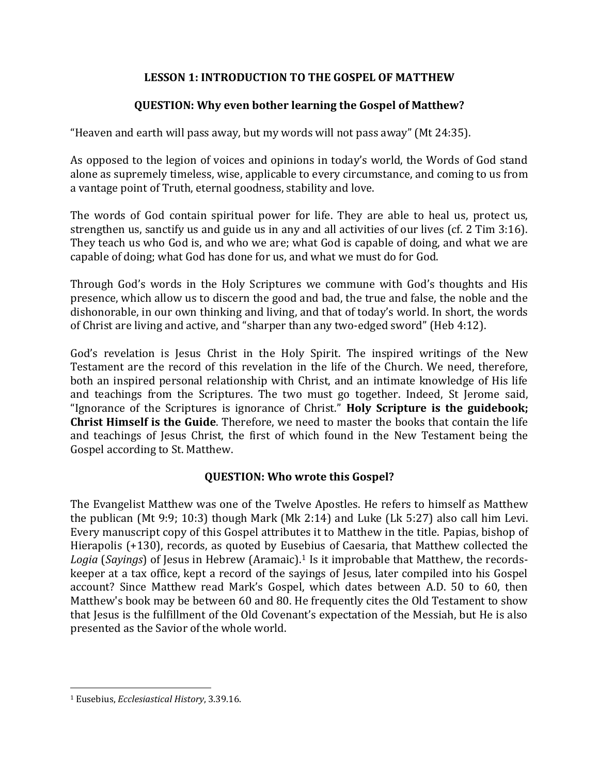## **LESSON 1: INTRODUCTION TO THE GOSPEL OF MATTHEW**

## **QUESTION: Why even bother learning the Gospel of Matthew?**

"Heaven and earth will pass away, but my words will not pass away" (Mt 24:35).

As opposed to the legion of voices and opinions in today's world, the Words of God stand alone as supremely timeless, wise, applicable to every circumstance, and coming to us from a vantage point of Truth, eternal goodness, stability and love.

The words of God contain spiritual power for life. They are able to heal us, protect us, strengthen us, sanctify us and guide us in any and all activities of our lives (cf. 2 Tim 3:16). They teach us who God is, and who we are; what God is capable of doing, and what we are capable of doing; what God has done for us, and what we must do for God.

Through God's words in the Holy Scriptures we commune with God's thoughts and His presence, which allow us to discern the good and bad, the true and false, the noble and the dishonorable, in our own thinking and living, and that of today's world. In short, the words of Christ are living and active, and "sharper than any two-edged sword" (Heb 4:12).

God's revelation is Jesus Christ in the Holy Spirit. The inspired writings of the New Testament are the record of this revelation in the life of the Church. We need, therefore, both an inspired personal relationship with Christ, and an intimate knowledge of His life and teachings from the Scriptures. The two must go together. Indeed, St Jerome said, "Ignorance of the Scriptures is ignorance of Christ." **Holy Scripture is the guidebook; Christ Himself is the Guide**. Therefore, we need to master the books that contain the life and teachings of Jesus Christ, the first of which found in the New Testament being the Gospel according to St. Matthew.

## **QUESTION: Who wrote this Gospel?**

The Evangelist Matthew was one of the Twelve Apostles. He refers to himself as Matthew the publican (Mt 9:9; 10:3) though Mark (Mk 2:14) and Luke (Lk 5:27) also call him Levi. Every manuscript copy of this Gospel attributes it to Matthew in the title. Papias, bishop of Hierapolis (+130), records, as quoted by Eusebius of Caesaria, that Matthew collected the *Logia* (*Sayings*) of Jesus in Hebrew (Aramaic).<sup>1</sup> Is it improbable that Matthew, the recordskeeper at a tax office, kept a record of the sayings of Jesus, later compiled into his Gospel account? Since Matthew read Mark's Gospel, which dates between A.D. 50 to 60, then Matthew's book may be between 60 and 80. He frequently cites the Old Testament to show that Jesus is the fulfillment of the Old Covenant's expectation of the Messiah, but He is also presented as the Savior of the whole world.

l

<sup>1</sup> Eusebius, *Ecclesiastical History*, 3.39.16.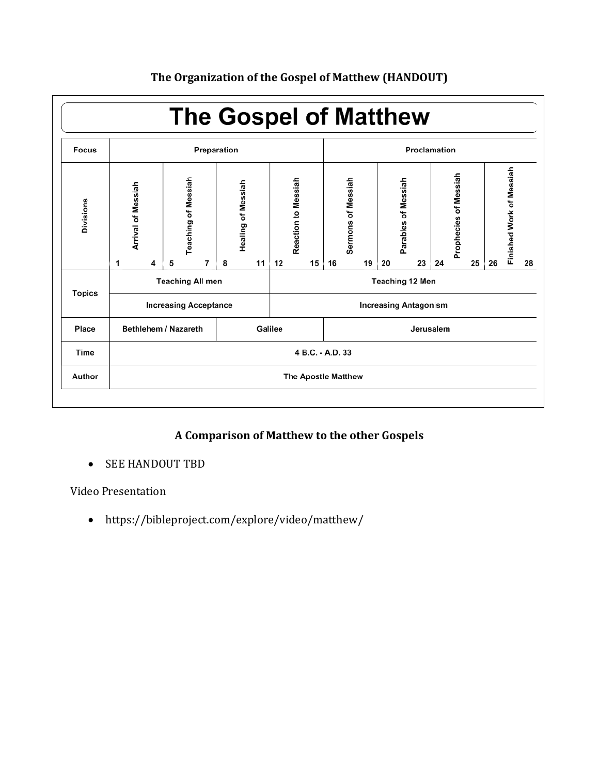

# **The Organization of the Gospel of Matthew (HANDOUT)**

# **A Comparison of Matthew to the other Gospels**

• SEE HANDOUT TBD

Video Presentation

https://bibleproject.com/explore/video/matthew/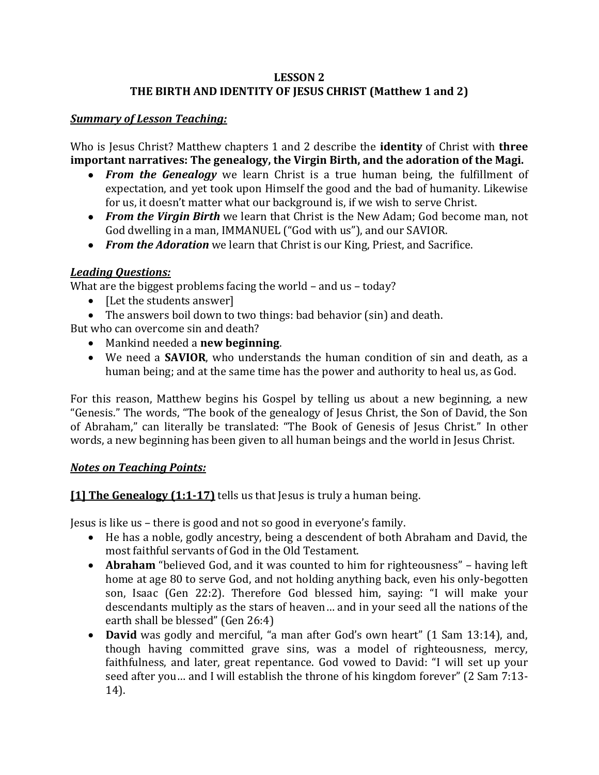## **LESSON 2 THE BIRTH AND IDENTITY OF JESUS CHRIST (Matthew 1 and 2)**

## *Summary of Lesson Teaching:*

Who is Jesus Christ? Matthew chapters 1 and 2 describe the **identity** of Christ with **three important narratives: The genealogy, the Virgin Birth, and the adoration of the Magi.** 

- *From the Genealogy* we learn Christ is a true human being, the fulfillment of expectation, and yet took upon Himself the good and the bad of humanity. Likewise for us, it doesn't matter what our background is, if we wish to serve Christ.
- *From the Virgin Birth* we learn that Christ is the New Adam; God become man, not God dwelling in a man, IMMANUEL ("God with us"), and our SAVIOR.
- *From the Adoration* we learn that Christ is our King, Priest, and Sacrifice.

## *Leading Questions:*

What are the biggest problems facing the world – and us – today?

- [Let the students answer]
- The answers boil down to two things: bad behavior (sin) and death.

But who can overcome sin and death?

- Mankind needed a **new beginning**.
- We need a **SAVIOR**, who understands the human condition of sin and death, as a human being; and at the same time has the power and authority to heal us, as God.

For this reason, Matthew begins his Gospel by telling us about a new beginning, a new "Genesis." The words, "The book of the genealogy of Jesus Christ, the Son of David, the Son of Abraham," can literally be translated: "The Book of Genesis of Jesus Christ." In other words, a new beginning has been given to all human beings and the world in Jesus Christ.

#### *Notes on Teaching Points:*

**[1] The Genealogy (1:1-17)** tells us that Jesus is truly a human being.

Jesus is like us – there is good and not so good in everyone's family.

- He has a noble, godly ancestry, being a descendent of both Abraham and David, the most faithful servants of God in the Old Testament.
- **Abraham** "believed God, and it was counted to him for righteousness" having left home at age 80 to serve God, and not holding anything back, even his only-begotten son, Isaac (Gen 22:2). Therefore God blessed him, saying: "I will make your descendants multiply as the stars of heaven… and in your seed all the nations of the earth shall be blessed" (Gen 26:4)
- **David** was godly and merciful, "a man after God's own heart" (1 Sam 13:14), and, though having committed grave sins, was a model of righteousness, mercy, faithfulness, and later, great repentance. God vowed to David: "I will set up your seed after you… and I will establish the throne of his kingdom forever" (2 Sam 7:13- 14).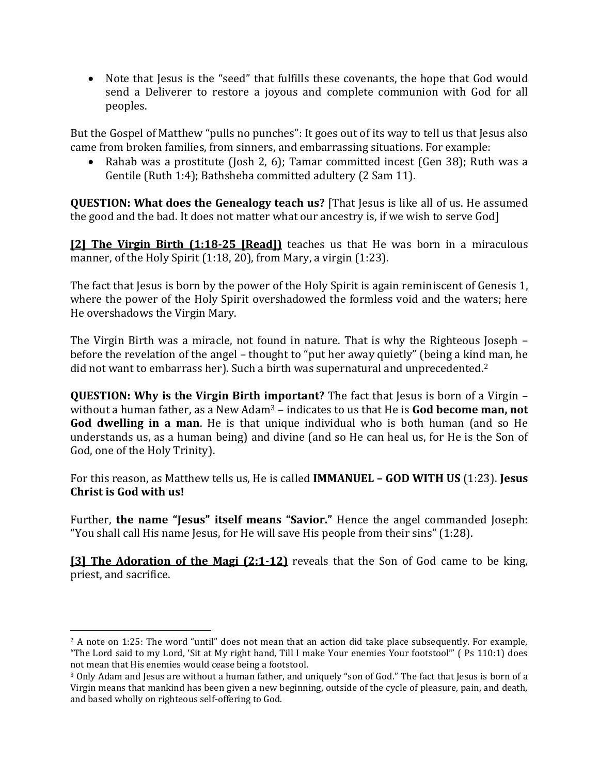• Note that Jesus is the "seed" that fulfills these covenants, the hope that God would send a Deliverer to restore a joyous and complete communion with God for all peoples.

But the Gospel of Matthew "pulls no punches": It goes out of its way to tell us that Jesus also came from broken families, from sinners, and embarrassing situations. For example:

• Rahab was a prostitute (Josh 2, 6); Tamar committed incest (Gen 38); Ruth was a Gentile (Ruth 1:4); Bathsheba committed adultery (2 Sam 11).

**QUESTION: What does the Genealogy teach us?** [That Jesus is like all of us. He assumed the good and the bad. It does not matter what our ancestry is, if we wish to serve God]

**[2] The Virgin Birth (1:18-25 [Read])** teaches us that He was born in a miraculous manner, of the Holy Spirit (1:18, 20), from Mary, a virgin (1:23).

The fact that Jesus is born by the power of the Holy Spirit is again reminiscent of Genesis 1, where the power of the Holy Spirit overshadowed the formless void and the waters; here He overshadows the Virgin Mary.

The Virgin Birth was a miracle, not found in nature. That is why the Righteous Joseph – before the revelation of the angel – thought to "put her away quietly" (being a kind man, he did not want to embarrass her). Such a birth was supernatural and unprecedented.<sup>2</sup>

**QUESTION: Why is the Virgin Birth important?** The fact that Jesus is born of a Virgin – without a human father, as a New Adam<sup>3</sup> – indicates to us that He is **God become man, not God dwelling in a man**. He is that unique individual who is both human (and so He understands us, as a human being) and divine (and so He can heal us, for He is the Son of God, one of the Holy Trinity).

For this reason, as Matthew tells us, He is called **IMMANUEL – GOD WITH US** (1:23). **Jesus Christ is God with us!**

Further, **the name "Jesus" itself means "Savior."** Hence the angel commanded Joseph: "You shall call His name Jesus, for He will save His people from their sins" (1:28).

**[3] The Adoration of the Magi (2:1-12)** reveals that the Son of God came to be king, priest, and sacrifice.

l

 $2$  A note on 1:25: The word "until" does not mean that an action did take place subsequently. For example, "The Lord said to my Lord, 'Sit at My right hand, Till I make Your enemies Your footstool'" ( Ps 110:1) does not mean that His enemies would cease being a footstool.

<sup>3</sup> Only Adam and Jesus are without a human father, and uniquely "son of God." The fact that Jesus is born of a Virgin means that mankind has been given a new beginning, outside of the cycle of pleasure, pain, and death, and based wholly on righteous self-offering to God.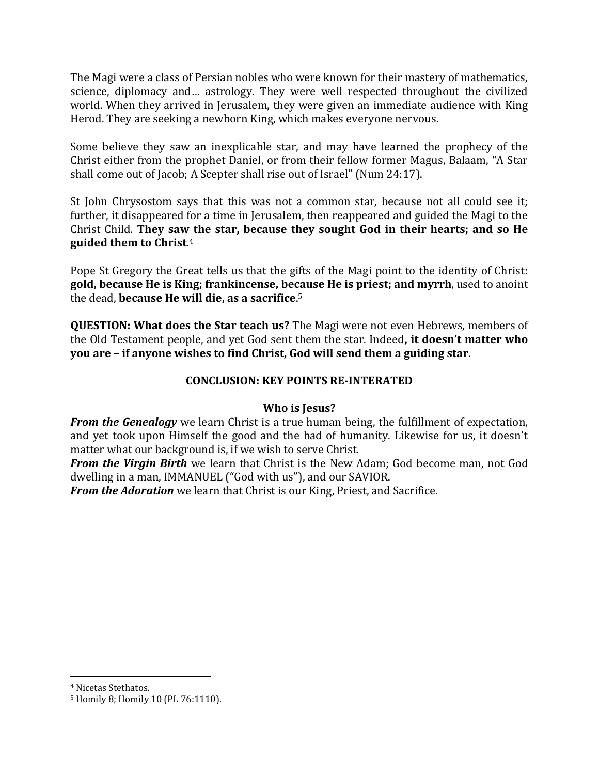The Magi were a class of Persian nobles who were known for their mastery of mathematics, science, diplomacy and… astrology. They were well respected throughout the civilized world. When they arrived in Jerusalem, they were given an immediate audience with King Herod. They are seeking a newborn King, which makes everyone nervous.

Some believe they saw an inexplicable star, and may have learned the prophecy of the Christ either from the prophet Daniel, or from their fellow former Magus, Balaam, "A Star shall come out of Jacob; A Scepter shall rise out of Israel" (Num 24:17).

St John Chrysostom says that this was not a common star, because not all could see it; further, it disappeared for a time in Jerusalem, then reappeared and guided the Magi to the Christ Child. **They saw the star, because they sought God in their hearts; and so He guided them to Christ**. 4

Pope St Gregory the Great tells us that the gifts of the Magi point to the identity of Christ: **gold, because He is King; frankincense, because He is priest; and myrrh**, used to anoint the dead, **because He will die, as a sacrifice**. 5

**QUESTION: What does the Star teach us?** The Magi were not even Hebrews, members of the Old Testament people, and yet God sent them the star. Indeed**, it doesn't matter who you are – if anyone wishes to find Christ, God will send them a guiding star**.

### **CONCLUSION: KEY POINTS RE-INTERATED**

#### **Who is Jesus?**

*From the Genealogy* we learn Christ is a true human being, the fulfillment of expectation, and yet took upon Himself the good and the bad of humanity. Likewise for us, it doesn't matter what our background is, if we wish to serve Christ.

*From the Virgin Birth* we learn that Christ is the New Adam; God become man, not God dwelling in a man, IMMANUEL ("God with us"), and our SAVIOR.

*From the Adoration* we learn that Christ is our King, Priest, and Sacrifice.

 $\overline{a}$ 

<sup>4</sup> Nicetas Stethatos.

<sup>5</sup> Homily 8; Homily 10 (PL 76:1110).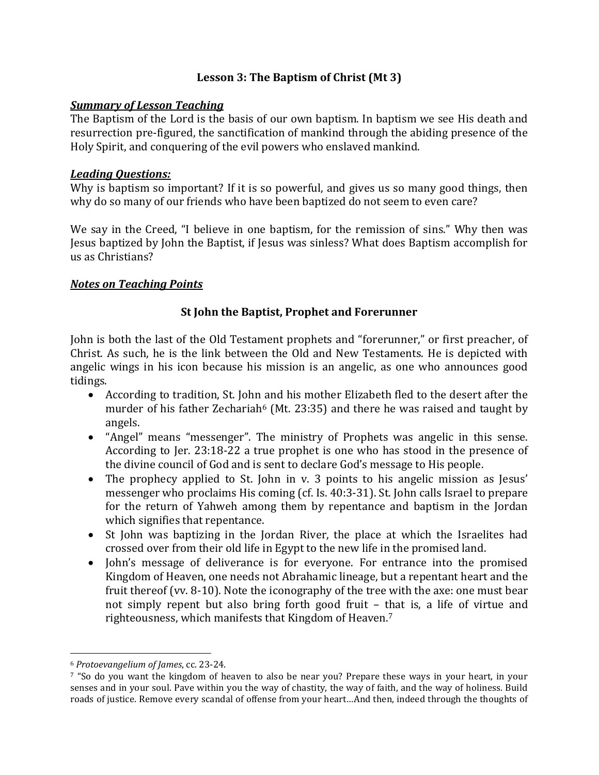### **Lesson 3: The Baptism of Christ (Mt 3)**

#### *Summary of Lesson Teaching*

The Baptism of the Lord is the basis of our own baptism. In baptism we see His death and resurrection pre-figured, the sanctification of mankind through the abiding presence of the Holy Spirit, and conquering of the evil powers who enslaved mankind.

#### *Leading Questions:*

Why is baptism so important? If it is so powerful, and gives us so many good things, then why do so many of our friends who have been baptized do not seem to even care?

We say in the Creed, "I believe in one baptism, for the remission of sins." Why then was Jesus baptized by John the Baptist, if Jesus was sinless? What does Baptism accomplish for us as Christians?

#### *Notes on Teaching Points*

### **St John the Baptist, Prophet and Forerunner**

John is both the last of the Old Testament prophets and "forerunner," or first preacher, of Christ. As such, he is the link between the Old and New Testaments. He is depicted with angelic wings in his icon because his mission is an angelic, as one who announces good tidings.

- According to tradition, St. John and his mother Elizabeth fled to the desert after the murder of his father Zechariah<sup> $6$ </sup> (Mt. 23:35) and there he was raised and taught by angels.
- "Angel" means "messenger". The ministry of Prophets was angelic in this sense. According to Jer. 23:18-22 a true prophet is one who has stood in the presence of the divine council of God and is sent to declare God's message to His people.
- The prophecy applied to St. John in v. 3 points to his angelic mission as Jesus' messenger who proclaims His coming (cf. Is. 40:3-31). St. John calls Israel to prepare for the return of Yahweh among them by repentance and baptism in the Jordan which signifies that repentance.
- St John was baptizing in the Jordan River, the place at which the Israelites had crossed over from their old life in Egypt to the new life in the promised land.
- John's message of deliverance is for everyone. For entrance into the promised Kingdom of Heaven, one needs not Abrahamic lineage, but a repentant heart and the fruit thereof (vv. 8-10). Note the iconography of the tree with the axe: one must bear not simply repent but also bring forth good fruit – that is, a life of virtue and righteousness, which manifests that Kingdom of Heaven.<sup>7</sup>

 $\overline{a}$ 

<sup>6</sup> *Protoevangelium of James*, cc. 23-24.

<sup>7</sup> "So do you want the kingdom of heaven to also be near you? Prepare these ways in your heart, in your senses and in your soul. Pave within you the way of chastity, the way of faith, and the way of holiness. Build roads of justice. Remove every scandal of offense from your heart…And then, indeed through the thoughts of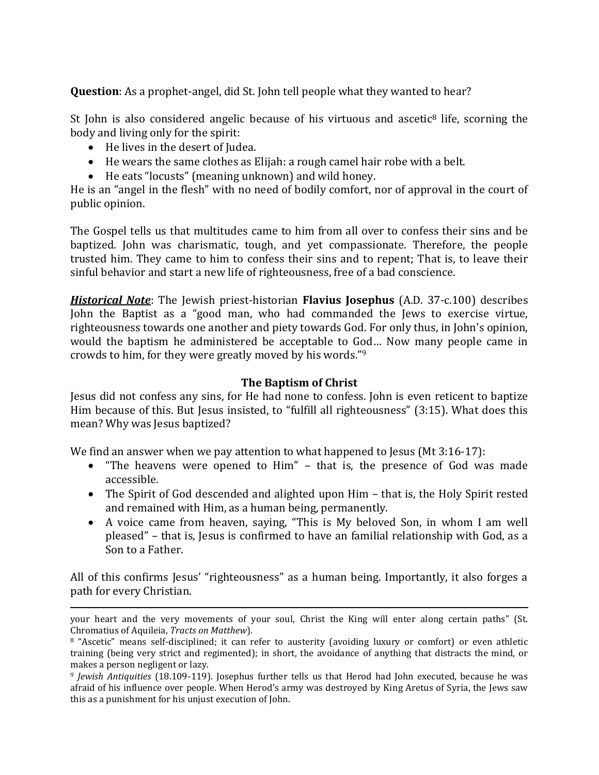**Question**: As a prophet-angel, did St. John tell people what they wanted to hear?

St John is also considered angelic because of his virtuous and ascetic<sup>8</sup> life, scorning the body and living only for the spirit:

• He lives in the desert of Judea.

 $\overline{a}$ 

- He wears the same clothes as Elijah: a rough camel hair robe with a belt.
- He eats "locusts" (meaning unknown) and wild honey.

He is an "angel in the flesh" with no need of bodily comfort, nor of approval in the court of public opinion.

The Gospel tells us that multitudes came to him from all over to confess their sins and be baptized. John was charismatic, tough, and yet compassionate. Therefore, the people trusted him. They came to him to confess their sins and to repent; That is, to leave their sinful behavior and start a new life of righteousness, free of a bad conscience.

*Historical Note*: The Jewish priest-historian **Flavius Josephus** (A.D. 37-c.100) describes John the Baptist as a "good man, who had commanded the Jews to exercise virtue, righteousness towards one another and piety towards God. For only thus, in John's opinion, would the baptism he administered be acceptable to God… Now many people came in crowds to him, for they were greatly moved by his words."<sup>9</sup>

## **The Baptism of Christ**

Jesus did not confess any sins, for He had none to confess. John is even reticent to baptize Him because of this. But Jesus insisted, to "fulfill all righteousness" (3:15). What does this mean? Why was Jesus baptized?

We find an answer when we pay attention to what happened to Jesus (Mt 3:16-17):

- "The heavens were opened to Him" that is, the presence of God was made accessible.
- The Spirit of God descended and alighted upon Him that is, the Holy Spirit rested and remained with Him, as a human being, permanently.
- A voice came from heaven, saying, "This is My beloved Son, in whom I am well pleased" – that is, Jesus is confirmed to have an familial relationship with God, as a Son to a Father.

All of this confirms Jesus' "righteousness" as a human being. Importantly, it also forges a path for every Christian.

your heart and the very movements of your soul, Christ the King will enter along certain paths" (St. Chromatius of Aquileia, *Tracts on Matthew*).

<sup>8</sup> "Ascetic" means self-disciplined; it can refer to austerity (avoiding luxury or comfort) or even athletic training (being very strict and regimented); in short, the avoidance of anything that distracts the mind, or makes a person negligent or lazy.

<sup>9</sup> *Jewish Antiquities* (18.109-119). Josephus further tells us that Herod had John executed, because he was afraid of his influence over people. When Herod's army was destroyed by King Aretus of Syria, the Jews saw this as a punishment for his unjust execution of John.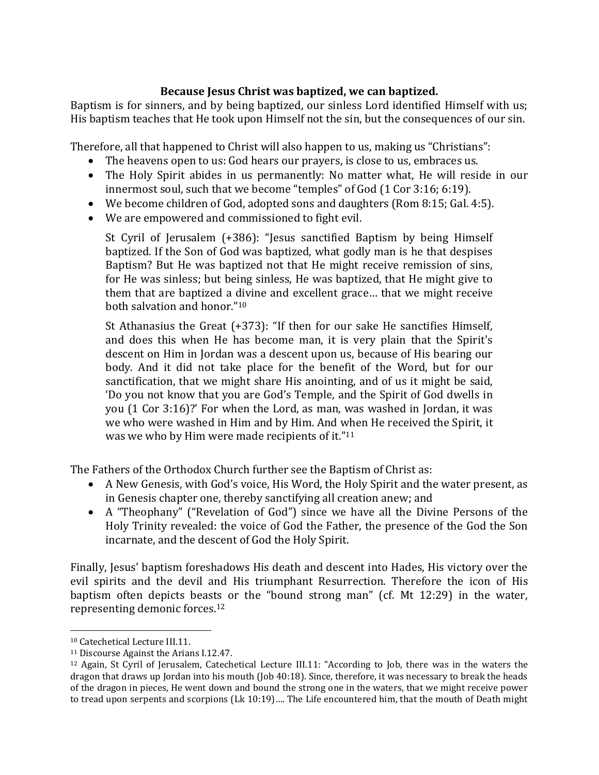## **Because Jesus Christ was baptized, we can baptized.**

Baptism is for sinners, and by being baptized, our sinless Lord identified Himself with us; His baptism teaches that He took upon Himself not the sin, but the consequences of our sin.

Therefore, all that happened to Christ will also happen to us, making us "Christians":

- The heavens open to us: God hears our prayers, is close to us, embraces us.
- The Holy Spirit abides in us permanently: No matter what, He will reside in our innermost soul, such that we become "temples" of God (1 Cor 3:16; 6:19).
- We become children of God, adopted sons and daughters (Rom 8:15; Gal. 4:5).
- We are empowered and commissioned to fight evil.

St Cyril of Jerusalem (+386): "Jesus sanctified Baptism by being Himself baptized. If the Son of God was baptized, what godly man is he that despises Baptism? But He was baptized not that He might receive remission of sins, for He was sinless; but being sinless, He was baptized, that He might give to them that are baptized a divine and excellent grace… that we might receive both salvation and honor." 10

St Athanasius the Great (+373): "If then for our sake He sanctifies Himself, and does this when He has become man, it is very plain that the Spirit's descent on Him in Jordan was a descent upon us, because of His bearing our body. And it did not take place for the benefit of the Word, but for our sanctification, that we might share His anointing, and of us it might be said, 'Do you not know that you are God's Temple, and the Spirit of God dwells in you (1 Cor 3:16)?' For when the Lord, as man, was washed in Jordan, it was we who were washed in Him and by Him. And when He received the Spirit, it was we who by Him were made recipients of it."<sup>11</sup>

The Fathers of the Orthodox Church further see the Baptism of Christ as:

- A New Genesis, with God's voice, His Word, the Holy Spirit and the water present, as in Genesis chapter one, thereby sanctifying all creation anew; and
- A "Theophany" ("Revelation of God") since we have all the Divine Persons of the Holy Trinity revealed: the voice of God the Father, the presence of the God the Son incarnate, and the descent of God the Holy Spirit.

Finally, Jesus' baptism foreshadows His death and descent into Hades, His victory over the evil spirits and the devil and His triumphant Resurrection. Therefore the icon of His baptism often depicts beasts or the "bound strong man" (cf. Mt 12:29) in the water, representing demonic forces.<sup>12</sup>

l

<sup>10</sup> Catechetical Lecture III.11.

<sup>11</sup> Discourse Against the Arians I.12.47.

<sup>12</sup> Again, St Cyril of Jerusalem, Catechetical Lecture III.11: "According to Job, there was in the waters the dragon that draws up Jordan into his mouth (Job 40:18). Since, therefore, it was necessary to break the heads of the dragon in pieces, He went down and bound the strong one in the waters, that we might receive power to tread upon serpents and scorpions (Lk 10:19)…. The Life encountered him, that the mouth of Death might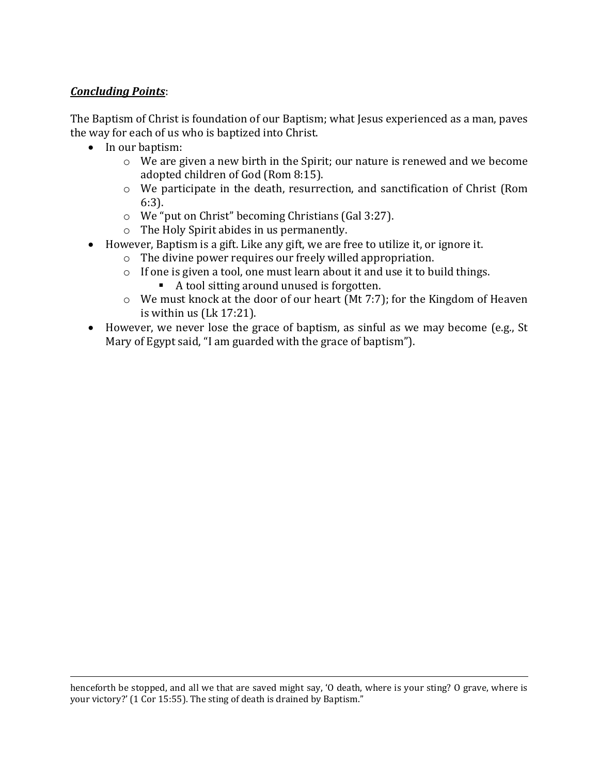## *Concluding Points*:

 $\overline{a}$ 

The Baptism of Christ is foundation of our Baptism; what Jesus experienced as a man, paves the way for each of us who is baptized into Christ.

- In our baptism:
	- o We are given a new birth in the Spirit; our nature is renewed and we become adopted children of God (Rom 8:15).
	- o We participate in the death, resurrection, and sanctification of Christ (Rom 6:3).
	- o We "put on Christ" becoming Christians (Gal 3:27).
	- o The Holy Spirit abides in us permanently.
- However, Baptism is a gift. Like any gift, we are free to utilize it, or ignore it.
	- o The divine power requires our freely willed appropriation.
	- o If one is given a tool, one must learn about it and use it to build things.
		- A tool sitting around unused is forgotten.
	- o We must knock at the door of our heart (Mt 7:7); for the Kingdom of Heaven is within us (Lk 17:21).
- However, we never lose the grace of baptism, as sinful as we may become (e.g., St Mary of Egypt said, "I am guarded with the grace of baptism").

henceforth be stopped, and all we that are saved might say, 'O death, where is your sting? O grave, where is your victory?' (1 Cor 15:55). The sting of death is drained by Baptism."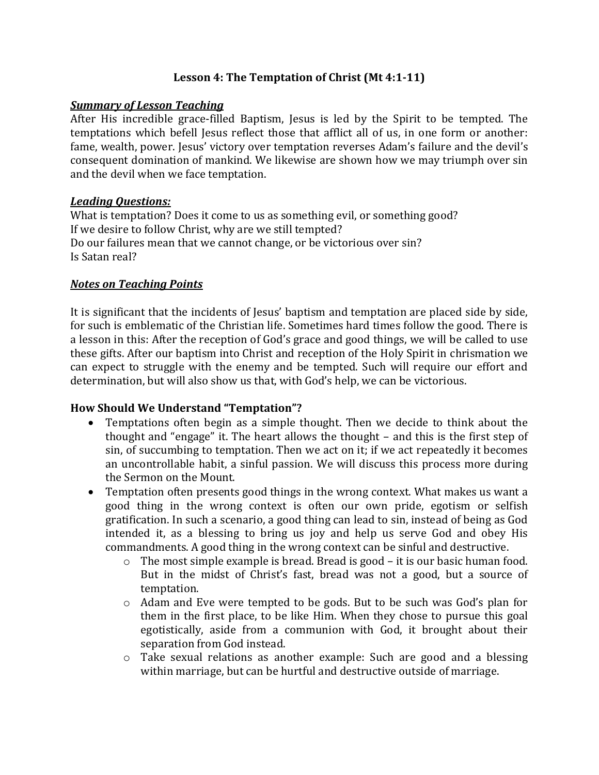### **Lesson 4: The Temptation of Christ (Mt 4:1-11)**

#### *Summary of Lesson Teaching*

After His incredible grace-filled Baptism, Jesus is led by the Spirit to be tempted. The temptations which befell Jesus reflect those that afflict all of us, in one form or another: fame, wealth, power. Jesus' victory over temptation reverses Adam's failure and the devil's consequent domination of mankind. We likewise are shown how we may triumph over sin and the devil when we face temptation.

#### *Leading Questions:*

What is temptation? Does it come to us as something evil, or something good? If we desire to follow Christ, why are we still tempted? Do our failures mean that we cannot change, or be victorious over sin? Is Satan real?

#### *Notes on Teaching Points*

It is significant that the incidents of Jesus' baptism and temptation are placed side by side, for such is emblematic of the Christian life. Sometimes hard times follow the good. There is a lesson in this: After the reception of God's grace and good things, we will be called to use these gifts. After our baptism into Christ and reception of the Holy Spirit in chrismation we can expect to struggle with the enemy and be tempted. Such will require our effort and determination, but will also show us that, with God's help, we can be victorious.

#### **How Should We Understand "Temptation"?**

- Temptations often begin as a simple thought. Then we decide to think about the thought and "engage" it. The heart allows the thought – and this is the first step of sin, of succumbing to temptation. Then we act on it; if we act repeatedly it becomes an uncontrollable habit, a sinful passion. We will discuss this process more during the Sermon on the Mount.
- Temptation often presents good things in the wrong context. What makes us want a good thing in the wrong context is often our own pride, egotism or selfish gratification. In such a scenario, a good thing can lead to sin, instead of being as God intended it, as a blessing to bring us joy and help us serve God and obey His commandments. A good thing in the wrong context can be sinful and destructive.
	- o The most simple example is bread. Bread is good it is our basic human food. But in the midst of Christ's fast, bread was not a good, but a source of temptation.
	- o Adam and Eve were tempted to be gods. But to be such was God's plan for them in the first place, to be like Him. When they chose to pursue this goal egotistically, aside from a communion with God, it brought about their separation from God instead.
	- o Take sexual relations as another example: Such are good and a blessing within marriage, but can be hurtful and destructive outside of marriage.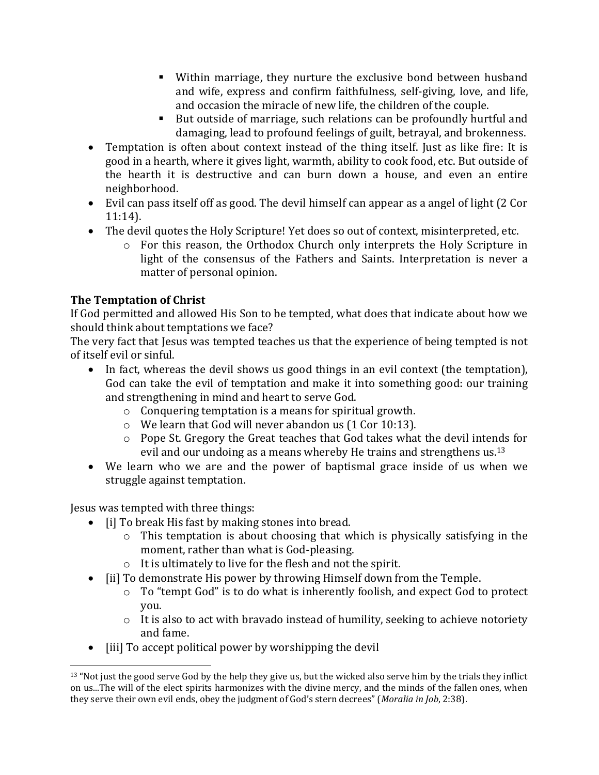- Within marriage, they nurture the exclusive bond between husband and wife, express and confirm faithfulness, self-giving, love, and life, and occasion the miracle of new life, the children of the couple.
- But outside of marriage, such relations can be profoundly hurtful and damaging, lead to profound feelings of guilt, betrayal, and brokenness.
- Temptation is often about context instead of the thing itself. Just as like fire: It is good in a hearth, where it gives light, warmth, ability to cook food, etc. But outside of the hearth it is destructive and can burn down a house, and even an entire neighborhood.
- Evil can pass itself off as good. The devil himself can appear as a angel of light (2 Cor 11:14).
- The devil quotes the Holy Scripture! Yet does so out of context, misinterpreted, etc.
	- o For this reason, the Orthodox Church only interprets the Holy Scripture in light of the consensus of the Fathers and Saints. Interpretation is never a matter of personal opinion.

# **The Temptation of Christ**

If God permitted and allowed His Son to be tempted, what does that indicate about how we should think about temptations we face?

The very fact that Jesus was tempted teaches us that the experience of being tempted is not of itself evil or sinful.

- In fact, whereas the devil shows us good things in an evil context (the temptation), God can take the evil of temptation and make it into something good: our training and strengthening in mind and heart to serve God.
	- o Conquering temptation is a means for spiritual growth.
	- o We learn that God will never abandon us (1 Cor 10:13).
	- o Pope St. Gregory the Great teaches that God takes what the devil intends for evil and our undoing as a means whereby He trains and strengthens us.<sup>13</sup>
- We learn who we are and the power of baptismal grace inside of us when we struggle against temptation.

Jesus was tempted with three things:

- [i] To break His fast by making stones into bread.
	- o This temptation is about choosing that which is physically satisfying in the moment, rather than what is God-pleasing.
	- o It is ultimately to live for the flesh and not the spirit.
- [ii] To demonstrate His power by throwing Himself down from the Temple.
	- o To "tempt God" is to do what is inherently foolish, and expect God to protect you.
	- o It is also to act with bravado instead of humility, seeking to achieve notoriety and fame.
- [iii] To accept political power by worshipping the devil

 $\overline{a}$  $13$  "Not just the good serve God by the help they give us, but the wicked also serve him by the trials they inflict on us...The will of the elect spirits harmonizes with the divine mercy, and the minds of the fallen ones, when they serve their own evil ends, obey the judgment of God's stern decrees" (*Moralia in Job*, 2:38).